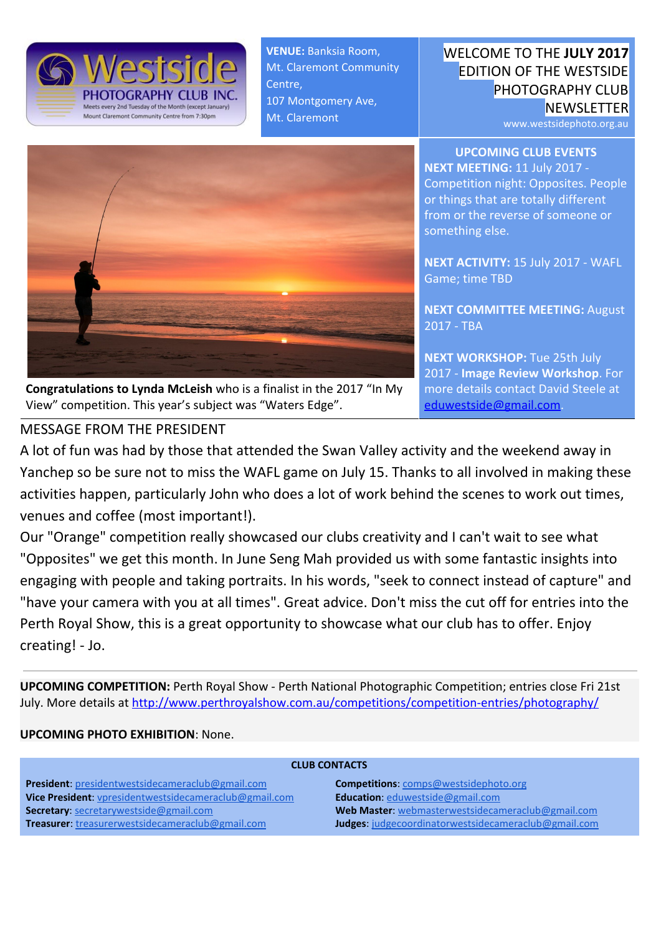

**VENUE:** Banksia Room, Mt. Claremont Community Centre, 107 Montgomery Ave, Mt. Claremont

## WELCOME TO THE **JULY 2017** EDITION OF THE WESTSIDE PHOTOGRAPHY CLUB **NEWSLETTER**

www.westsidephoto.org.au

**UPCOMING CLUB EVENTS NEXT MEETING:** 11 July 2017 - Competition night: Opposites. People or things that are totally different from or the reverse of someone or something else.

> **NEXT ACTIVITY:** 15 July 2017 - WAFL Game; time TBD

**NEXT COMMITTEE MEETING:** August 2017 - TBA

**NEXT WORKSHOP:** Tue 25th July 2017 - **Image Review Workshop**. For more details contact David Steele at [eduwestside@gmail.com.](mailto:eduwestside@gmail.com)



**Congratulations to Lynda McLeish** who is a finalist in the 2017 "In My View" competition. This year's subject was "Waters Edge".

# MESSAGE FROM THE PRESIDENT

A lot of fun was had by those that attended the Swan Valley activity and the weekend away in Yanchep so be sure not to miss the WAFL game on July 15. Thanks to all involved in making these activities happen, particularly John who does a lot of work behind the scenes to work out times, venues and coffee (most important!).

Our "Orange" competition really showcased our clubs creativity and I can't wait to see what "Opposites" we get this month. In June Seng Mah provided us with some fantastic insights into engaging with people and taking portraits. In his words, "seek to connect instead of capture" and "have your camera with you at all times". Great advice. Don't miss the cut off for entries into the Perth Royal Show, this is a great opportunity to showcase what our club has to offer. Enjoy creating! - Jo.

**UPCOMING COMPETITION:** Perth Royal Show - Perth National Photographic Competition; entries close Fri 21st July. More details at <http://www.perthroyalshow.com.au/competitions/competition-entries/photography/>

#### **UPCOMING PHOTO EXHIBITION**: None.

| <b>CLUB CONTACTS</b>                                    |                                                      |
|---------------------------------------------------------|------------------------------------------------------|
| <b>President:</b> presidentwestsidecameraclub@gmail.com | <b>Competitions:</b> comps@westsidephoto.org         |
| Vice President: vpresidentwestsidecameraclub@gmail.com  | Education: eduwestside@gmail.com                     |
| Secretary: secretarywestside@gmail.com                  | Web Master: webmasterwestsidecameraclub@gmail.com    |
| <b>Treasurer:</b> treasurerwestsidecameraclub@gmail.com | Judges: judgecoordinatorwestsidecameraclub@gmail.com |